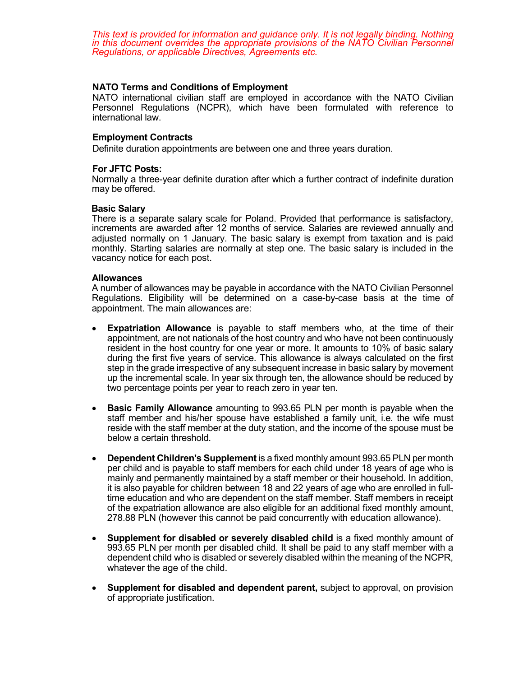*This text is provided for information and guidance only. It is not legally binding. Nothing in this document overrides the appropriate provisions of the NATO Civilian Personnel Regulations, or applicable Directives, Agreements etc.*

# **NATO Terms and Conditions of Employment**

NATO international civilian staff are employed in accordance with the NATO Civilian Personnel Regulations (NCPR), which have been formulated with reference to international law.

## **Employment Contracts**

Definite duration appointments are between one and three years duration.

### **For JFTC Posts:**

Normally a three-year definite duration after which a further contract of indefinite duration may be offered.

### **Basic Salary**

There is a separate salary scale for Poland. Provided that performance is satisfactory, increments are awarded after 12 months of service. Salaries are reviewed annually and adjusted normally on 1 January. The basic salary is exempt from taxation and is paid monthly. Starting salaries are normally at step one. The basic salary is included in the vacancy notice for each post.

### **Allowances**

A number of allowances may be payable in accordance with the NATO Civilian Personnel Regulations. Eligibility will be determined on a case-by-case basis at the time of appointment. The main allowances are:

- **Expatriation Allowance** is payable to staff members who, at the time of their appointment, are not nationals of the host country and who have not been continuously resident in the host country for one year or more. It amounts to 10% of basic salary during the first five years of service. This allowance is always calculated on the first step in the grade irrespective of any subsequent increase in basic salary by movement up the incremental scale. In year six through ten, the allowance should be reduced by two percentage points per year to reach zero in year ten.
- **Basic Family Allowance** amounting to 993.65 PLN per month is payable when the staff member and his/her spouse have established a family unit, i.e. the wife must reside with the staff member at the duty station, and the income of the spouse must be below a certain threshold.
- **Dependent Children's Supplement** is a fixed monthly amount 993.65 PLN per month per child and is payable to staff members for each child under 18 years of age who is mainly and permanently maintained by a staff member or their household. In addition, it is also payable for children between 18 and 22 years of age who are enrolled in fulltime education and who are dependent on the staff member. Staff members in receipt of the expatriation allowance are also eligible for an additional fixed monthly amount, 278.88 PLN (however this cannot be paid concurrently with education allowance).
- **Supplement for disabled or severely disabled child** is a fixed monthly amount of 993.65 PLN per month per disabled child. It shall be paid to any staff member with a dependent child who is disabled or severely disabled within the meaning of the NCPR, whatever the age of the child.
- **Supplement for disabled and dependent parent,** subject to approval, on provision of appropriate justification.